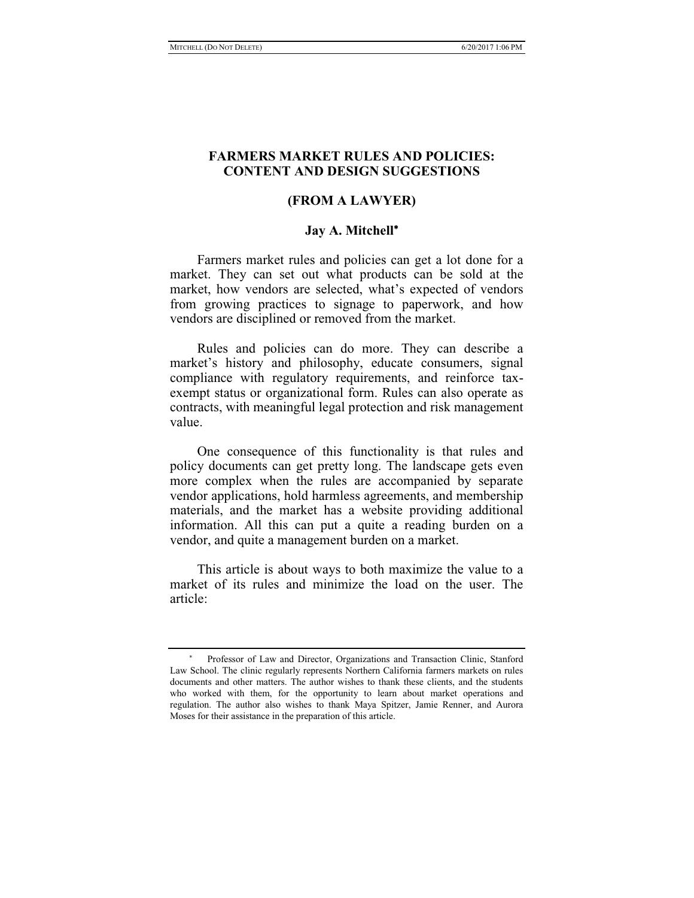# **FARMERS MARKET RULES AND POLICIES: CONTENT AND DESIGN SUGGESTIONS**

### **(FROM A LAWYER)**

## **Jay A. Mitchell**

Farmers market rules and policies can get a lot done for a market. They can set out what products can be sold at the market, how vendors are selected, what's expected of vendors from growing practices to signage to paperwork, and how vendors are disciplined or removed from the market.

Rules and policies can do more. They can describe a market's history and philosophy, educate consumers, signal compliance with regulatory requirements, and reinforce taxexempt status or organizational form. Rules can also operate as contracts, with meaningful legal protection and risk management value.

One consequence of this functionality is that rules and policy documents can get pretty long. The landscape gets even more complex when the rules are accompanied by separate vendor applications, hold harmless agreements, and membership materials, and the market has a website providing additional information. All this can put a quite a reading burden on a vendor, and quite a management burden on a market.

This article is about ways to both maximize the value to a market of its rules and minimize the load on the user. The article:

 $\sim$  1  $^{\prime\prime}$  Professor of Law and Director, Organizations and Transaction Clinic, Stanford Law School. The clinic regularly represents Northern California farmers markets on rules documents and other matters. The author wishes to thank these clients, and the students who worked with them, for the opportunity to learn about market operations and regulation. The author also wishes to thank Maya Spitzer, Jamie Renner, and Aurora Moses for their assistance in the preparation of this article.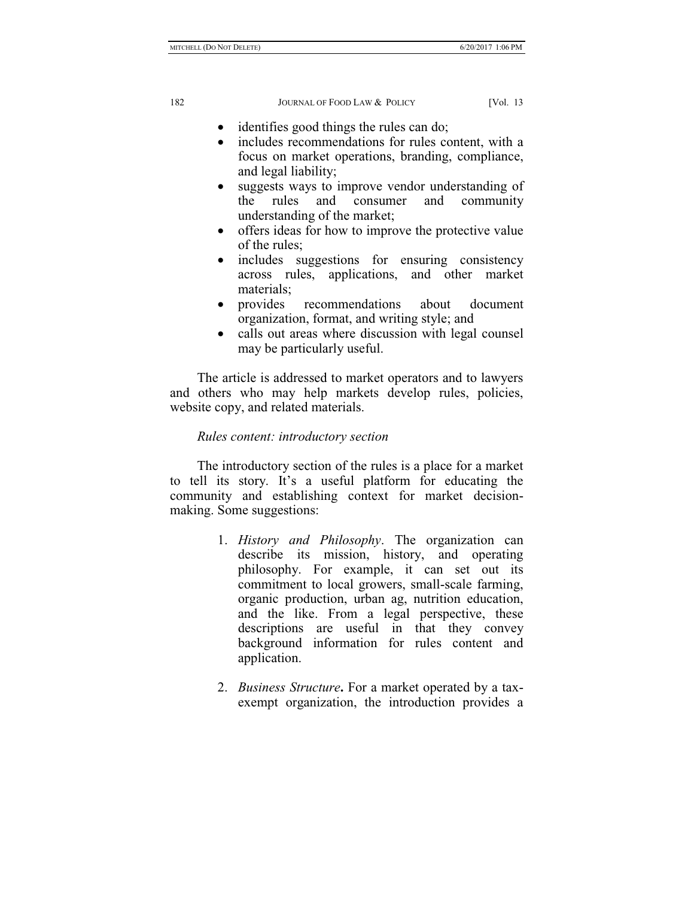- identifies good things the rules can do;
- includes recommendations for rules content, with a focus on market operations, branding, compliance, and legal liability;
- suggests ways to improve vendor understanding of the rules and consumer and community understanding of the market;
- offers ideas for how to improve the protective value of the rules;
- includes suggestions for ensuring consistency across rules, applications, and other market materials;
- provides recommendations about document organization, format, and writing style; and
- calls out areas where discussion with legal counsel may be particularly useful.

The article is addressed to market operators and to lawyers and others who may help markets develop rules, policies, website copy, and related materials.

# *Rules content: introductory section*

The introductory section of the rules is a place for a market to tell its story. It's a useful platform for educating the community and establishing context for market decisionmaking. Some suggestions:

- 1. *History and Philosophy*. The organization can describe its mission, history, and operating philosophy. For example, it can set out its commitment to local growers, small-scale farming, organic production, urban ag, nutrition education, and the like. From a legal perspective, these descriptions are useful in that they convey background information for rules content and application.
- 2. *Business Structure***.** For a market operated by a taxexempt organization, the introduction provides a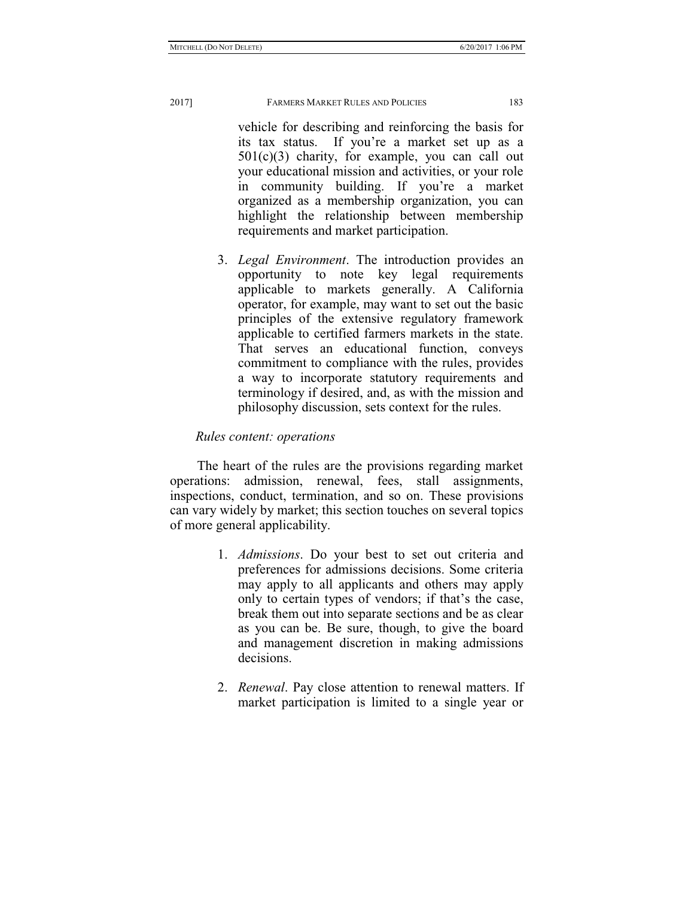vehicle for describing and reinforcing the basis for its tax status. If you're a market set up as a  $501(c)(3)$  charity, for example, you can call out your educational mission and activities, or your role in community building. If you're a market organized as a membership organization, you can highlight the relationship between membership requirements and market participation.

3. *Legal Environment*. The introduction provides an opportunity to note key legal requirements applicable to markets generally. A California operator, for example, may want to set out the basic principles of the extensive regulatory framework applicable to certified farmers markets in the state. That serves an educational function, conveys commitment to compliance with the rules, provides a way to incorporate statutory requirements and terminology if desired, and, as with the mission and philosophy discussion, sets context for the rules.

# *Rules content: operations*

The heart of the rules are the provisions regarding market operations: admission, renewal, fees, stall assignments, inspections, conduct, termination, and so on. These provisions can vary widely by market; this section touches on several topics of more general applicability.

- 1. *Admissions*. Do your best to set out criteria and preferences for admissions decisions. Some criteria may apply to all applicants and others may apply only to certain types of vendors; if that's the case, break them out into separate sections and be as clear as you can be. Be sure, though, to give the board and management discretion in making admissions decisions.
- 2. *Renewal*. Pay close attention to renewal matters. If market participation is limited to a single year or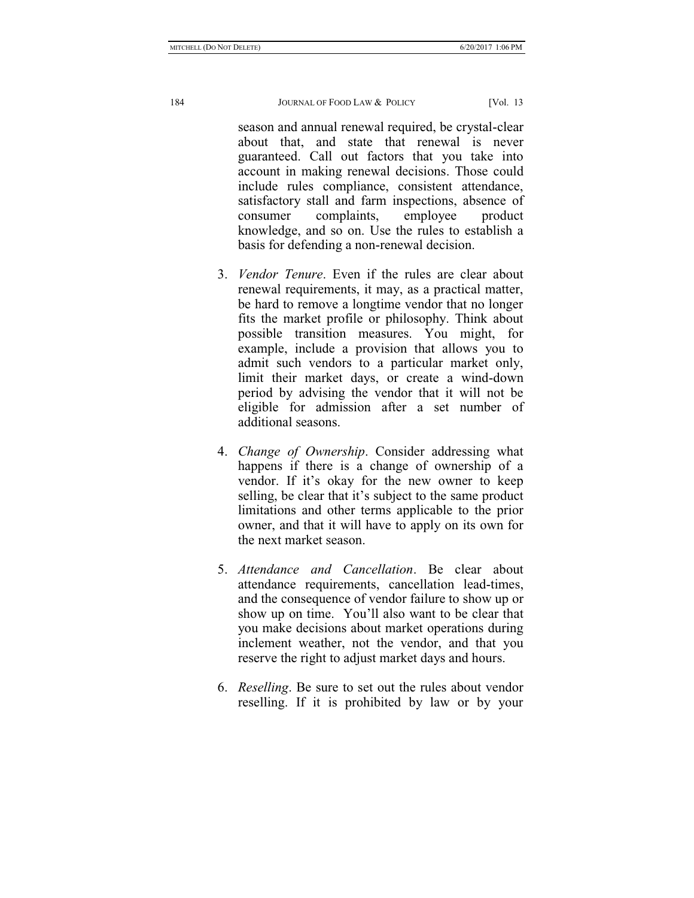season and annual renewal required, be crystal-clear about that, and state that renewal is never guaranteed. Call out factors that you take into account in making renewal decisions. Those could include rules compliance, consistent attendance, satisfactory stall and farm inspections, absence of consumer complaints, employee product knowledge, and so on. Use the rules to establish a basis for defending a non-renewal decision.

- 3. *Vendor Tenure*. Even if the rules are clear about renewal requirements, it may, as a practical matter, be hard to remove a longtime vendor that no longer fits the market profile or philosophy. Think about possible transition measures. You might, for example, include a provision that allows you to admit such vendors to a particular market only, limit their market days, or create a wind-down period by advising the vendor that it will not be eligible for admission after a set number of additional seasons.
- 4. *Change of Ownership*. Consider addressing what happens if there is a change of ownership of a vendor. If it's okay for the new owner to keep selling, be clear that it's subject to the same product limitations and other terms applicable to the prior owner, and that it will have to apply on its own for the next market season.
- 5. *Attendance and Cancellation*. Be clear about attendance requirements, cancellation lead-times, and the consequence of vendor failure to show up or show up on time. You'll also want to be clear that you make decisions about market operations during inclement weather, not the vendor, and that you reserve the right to adjust market days and hours.
- 6. *Reselling*. Be sure to set out the rules about vendor reselling. If it is prohibited by law or by your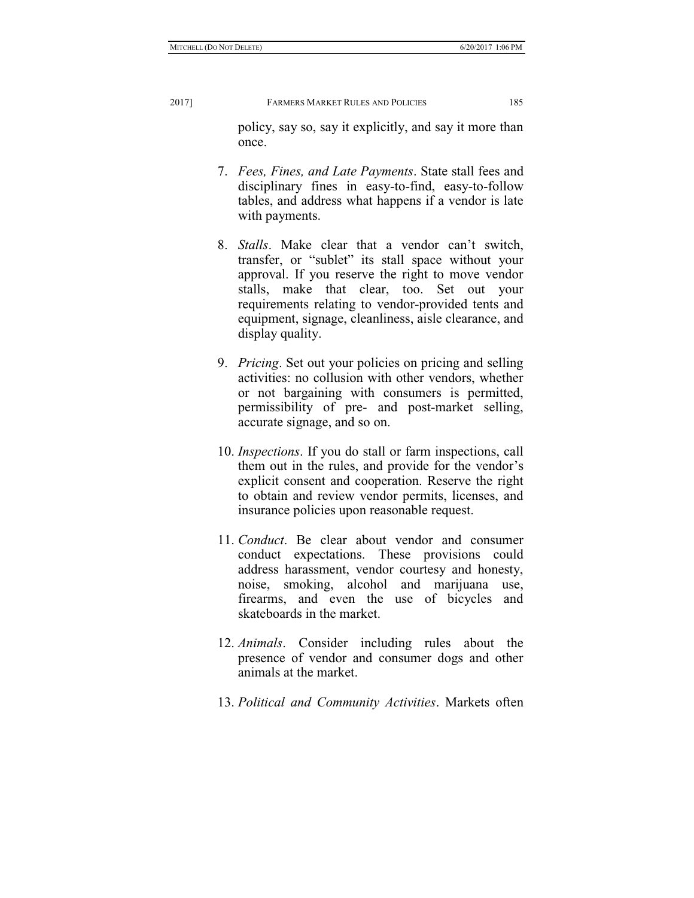policy, say so, say it explicitly, and say it more than once.

- 7. *Fees, Fines, and Late Payments*. State stall fees and disciplinary fines in easy-to-find, easy-to-follow tables, and address what happens if a vendor is late with payments.
- 8. *Stalls*. Make clear that a vendor can't switch, transfer, or "sublet" its stall space without your approval. If you reserve the right to move vendor stalls, make that clear, too. Set out your requirements relating to vendor-provided tents and equipment, signage, cleanliness, aisle clearance, and display quality.
- 9. *Pricing*. Set out your policies on pricing and selling activities: no collusion with other vendors, whether or not bargaining with consumers is permitted, permissibility of pre- and post-market selling, accurate signage, and so on.
- 10. *Inspections*. If you do stall or farm inspections, call them out in the rules, and provide for the vendor's explicit consent and cooperation. Reserve the right to obtain and review vendor permits, licenses, and insurance policies upon reasonable request.
- 11. *Conduct*. Be clear about vendor and consumer conduct expectations. These provisions could address harassment, vendor courtesy and honesty, noise, smoking, alcohol and marijuana use, firearms, and even the use of bicycles and skateboards in the market.
- 12. *Animals*. Consider including rules about the presence of vendor and consumer dogs and other animals at the market.
- 13. *Political and Community Activities*. Markets often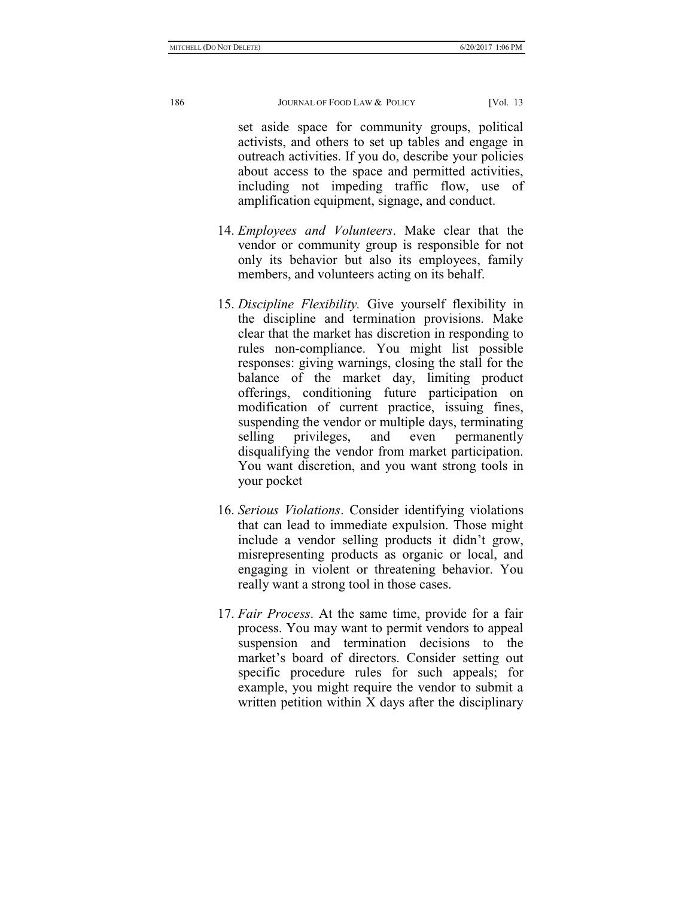set aside space for community groups, political activists, and others to set up tables and engage in outreach activities. If you do, describe your policies about access to the space and permitted activities, including not impeding traffic flow, use of amplification equipment, signage, and conduct.

- 14. *Employees and Volunteers*. Make clear that the vendor or community group is responsible for not only its behavior but also its employees, family members, and volunteers acting on its behalf.
- 15. *Discipline Flexibility.* Give yourself flexibility in the discipline and termination provisions. Make clear that the market has discretion in responding to rules non-compliance. You might list possible responses: giving warnings, closing the stall for the balance of the market day, limiting product offerings, conditioning future participation on modification of current practice, issuing fines, suspending the vendor or multiple days, terminating selling privileges, and even permanently disqualifying the vendor from market participation. You want discretion, and you want strong tools in your pocket
- 16. *Serious Violations*. Consider identifying violations that can lead to immediate expulsion. Those might include a vendor selling products it didn't grow, misrepresenting products as organic or local, and engaging in violent or threatening behavior. You really want a strong tool in those cases.
- 17. *Fair Process*. At the same time, provide for a fair process. You may want to permit vendors to appeal suspension and termination decisions to the market's board of directors. Consider setting out specific procedure rules for such appeals; for example, you might require the vendor to submit a written petition within X days after the disciplinary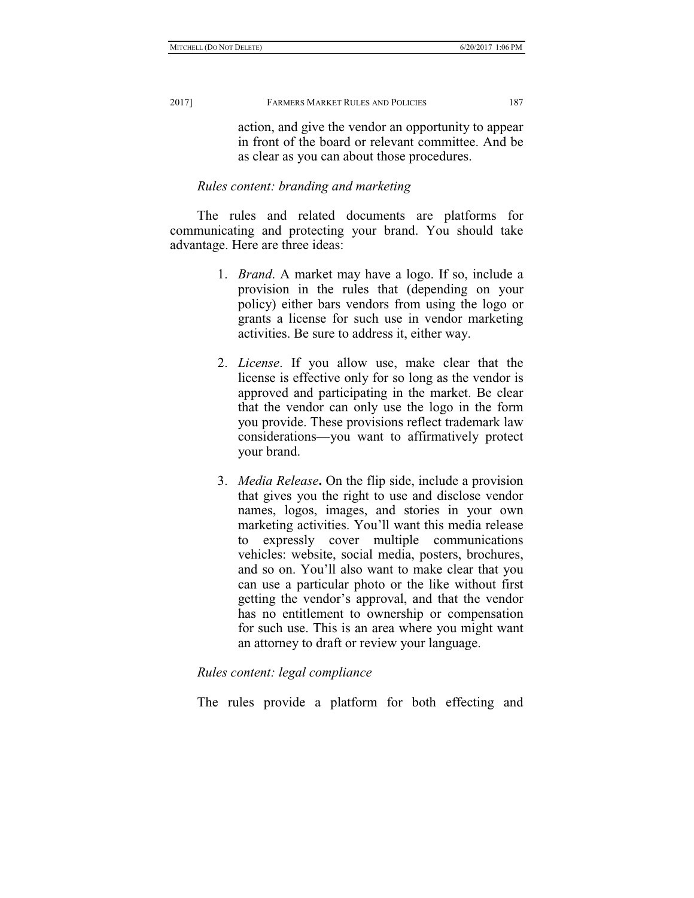action, and give the vendor an opportunity to appear in front of the board or relevant committee. And be as clear as you can about those procedures.

### *Rules content: branding and marketing*

The rules and related documents are platforms for communicating and protecting your brand. You should take advantage. Here are three ideas:

- 1. *Brand*. A market may have a logo. If so, include a provision in the rules that (depending on your policy) either bars vendors from using the logo or grants a license for such use in vendor marketing activities. Be sure to address it, either way.
- 2. *License*. If you allow use, make clear that the license is effective only for so long as the vendor is approved and participating in the market. Be clear that the vendor can only use the logo in the form you provide. These provisions reflect trademark law considerations—you want to affirmatively protect your brand.
- 3. *Media Release***.** On the flip side, include a provision that gives you the right to use and disclose vendor names, logos, images, and stories in your own marketing activities. You'll want this media release to expressly cover multiple communications vehicles: website, social media, posters, brochures, and so on. You'll also want to make clear that you can use a particular photo or the like without first getting the vendor's approval, and that the vendor has no entitlement to ownership or compensation for such use. This is an area where you might want an attorney to draft or review your language.

#### *Rules content: legal compliance*

The rules provide a platform for both effecting and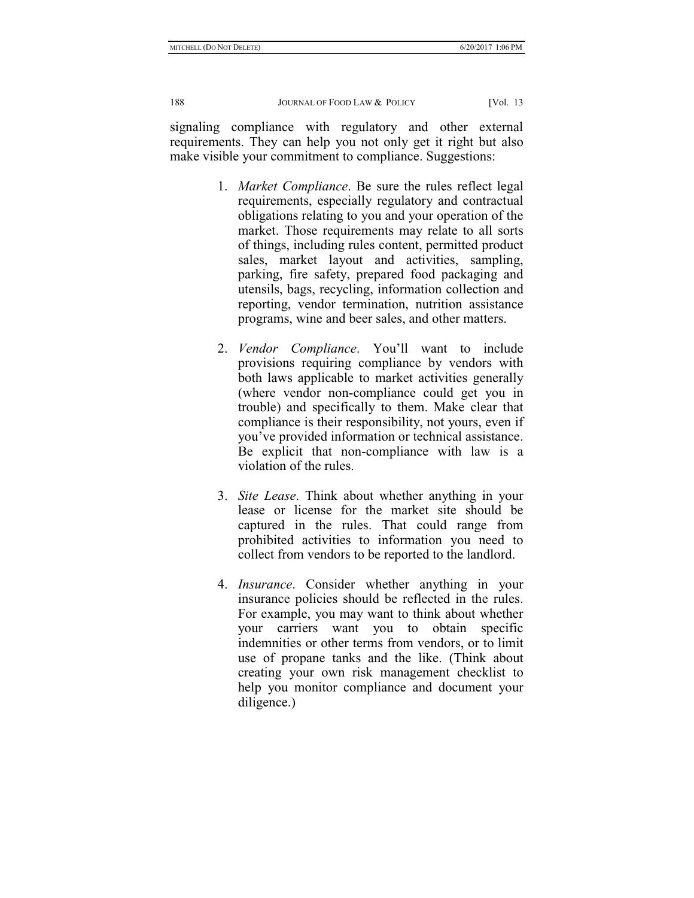signaling compliance with regulatory and other external requirements. They can help you not only get it right but also make visible your commitment to compliance. Suggestions:

- 1. *Market Compliance*. Be sure the rules reflect legal requirements, especially regulatory and contractual obligations relating to you and your operation of the market. Those requirements may relate to all sorts of things, including rules content, permitted product sales, market layout and activities, sampling, parking, fire safety, prepared food packaging and utensils, bags, recycling, information collection and reporting, vendor termination, nutrition assistance programs, wine and beer sales, and other matters.
- 2. *Vendor Compliance*. You'll want to include provisions requiring compliance by vendors with both laws applicable to market activities generally (where vendor non-compliance could get you in trouble) and specifically to them. Make clear that compliance is their responsibility, not yours, even if you've provided information or technical assistance. Be explicit that non-compliance with law is a violation of the rules.
- 3. *Site Lease*. Think about whether anything in your lease or license for the market site should be captured in the rules. That could range from prohibited activities to information you need to collect from vendors to be reported to the landlord.
- 4. *Insurance*. Consider whether anything in your insurance policies should be reflected in the rules. For example, you may want to think about whether your carriers want you to obtain specific indemnities or other terms from vendors, or to limit use of propane tanks and the like. (Think about creating your own risk management checklist to help you monitor compliance and document your diligence.)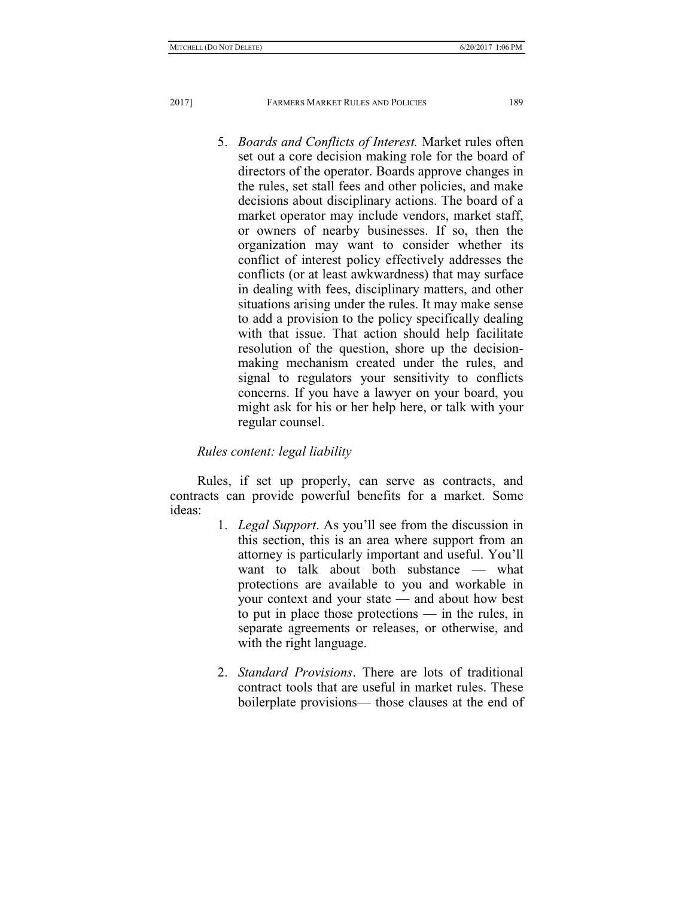5. *Boards and Conflicts of Interest.* Market rules often set out a core decision making role for the board of directors of the operator. Boards approve changes in the rules, set stall fees and other policies, and make decisions about disciplinary actions. The board of a market operator may include vendors, market staff, or owners of nearby businesses. If so, then the organization may want to consider whether its conflict of interest policy effectively addresses the conflicts (or at least awkwardness) that may surface in dealing with fees, disciplinary matters, and other situations arising under the rules. It may make sense to add a provision to the policy specifically dealing with that issue. That action should help facilitate resolution of the question, shore up the decisionmaking mechanism created under the rules, and signal to regulators your sensitivity to conflicts concerns. If you have a lawyer on your board, you might ask for his or her help here, or talk with your regular counsel.

# *Rules content: legal liability*

Rules, if set up properly, can serve as contracts, and contracts can provide powerful benefits for a market. Some ideas:

- 1. *Legal Support*. As you'll see from the discussion in this section, this is an area where support from an attorney is particularly important and useful. You'll want to talk about both substance — what protections are available to you and workable in your context and your state — and about how best to put in place those protections — in the rules, in separate agreements or releases, or otherwise, and with the right language.
- 2. *Standard Provisions*. There are lots of traditional contract tools that are useful in market rules. These boilerplate provisions— those clauses at the end of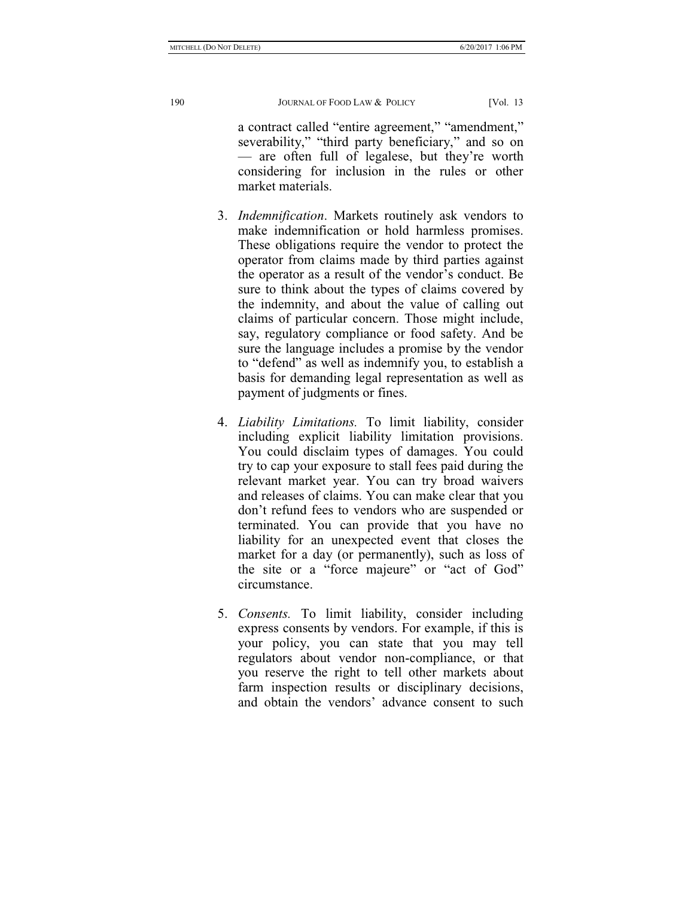a contract called "entire agreement," "amendment," severability," "third party beneficiary," and so on — are often full of legalese, but they're worth considering for inclusion in the rules or other market materials.

- 3. *Indemnification*. Markets routinely ask vendors to make indemnification or hold harmless promises. These obligations require the vendor to protect the operator from claims made by third parties against the operator as a result of the vendor's conduct. Be sure to think about the types of claims covered by the indemnity, and about the value of calling out claims of particular concern. Those might include, say, regulatory compliance or food safety. And be sure the language includes a promise by the vendor to "defend" as well as indemnify you, to establish a basis for demanding legal representation as well as payment of judgments or fines.
- 4. *Liability Limitations.* To limit liability, consider including explicit liability limitation provisions. You could disclaim types of damages. You could try to cap your exposure to stall fees paid during the relevant market year. You can try broad waivers and releases of claims. You can make clear that you don't refund fees to vendors who are suspended or terminated. You can provide that you have no liability for an unexpected event that closes the market for a day (or permanently), such as loss of the site or a "force majeure" or "act of God" circumstance.
- 5. *Consents.* To limit liability, consider including express consents by vendors. For example, if this is your policy, you can state that you may tell regulators about vendor non-compliance, or that you reserve the right to tell other markets about farm inspection results or disciplinary decisions, and obtain the vendors' advance consent to such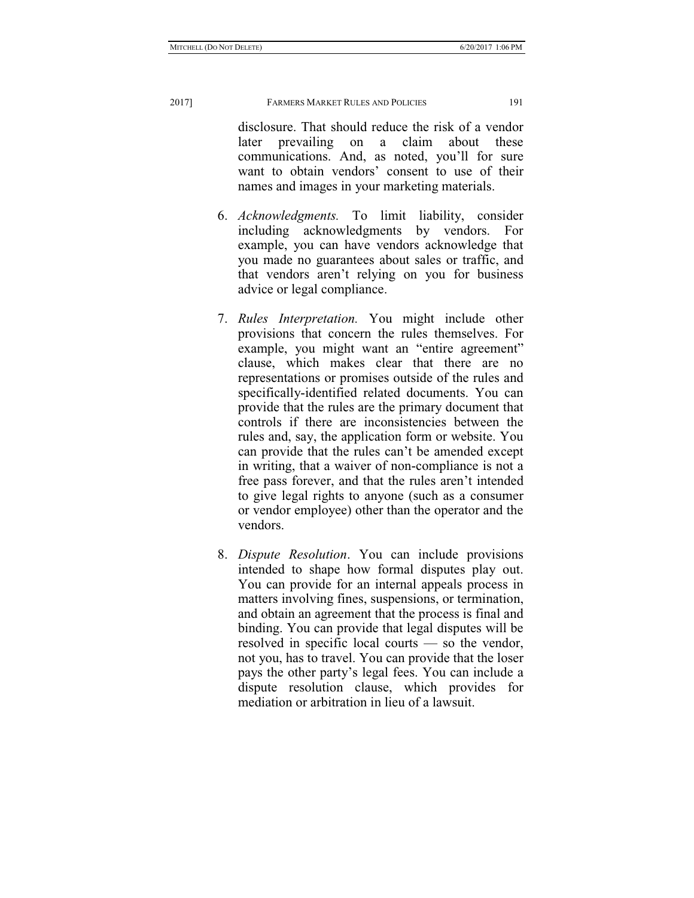disclosure. That should reduce the risk of a vendor later prevailing on a claim about these communications. And, as noted, you'll for sure want to obtain vendors' consent to use of their names and images in your marketing materials.

- 6. *Acknowledgments.* To limit liability, consider including acknowledgments by vendors. For example, you can have vendors acknowledge that you made no guarantees about sales or traffic, and that vendors aren't relying on you for business advice or legal compliance.
- 7. *Rules Interpretation.* You might include other provisions that concern the rules themselves. For example, you might want an "entire agreement" clause, which makes clear that there are no representations or promises outside of the rules and specifically-identified related documents. You can provide that the rules are the primary document that controls if there are inconsistencies between the rules and, say, the application form or website. You can provide that the rules can't be amended except in writing, that a waiver of non-compliance is not a free pass forever, and that the rules aren't intended to give legal rights to anyone (such as a consumer or vendor employee) other than the operator and the vendors.
- 8. *Dispute Resolution*. You can include provisions intended to shape how formal disputes play out. You can provide for an internal appeals process in matters involving fines, suspensions, or termination, and obtain an agreement that the process is final and binding. You can provide that legal disputes will be resolved in specific local courts — so the vendor, not you, has to travel. You can provide that the loser pays the other party's legal fees. You can include a dispute resolution clause, which provides for mediation or arbitration in lieu of a lawsuit.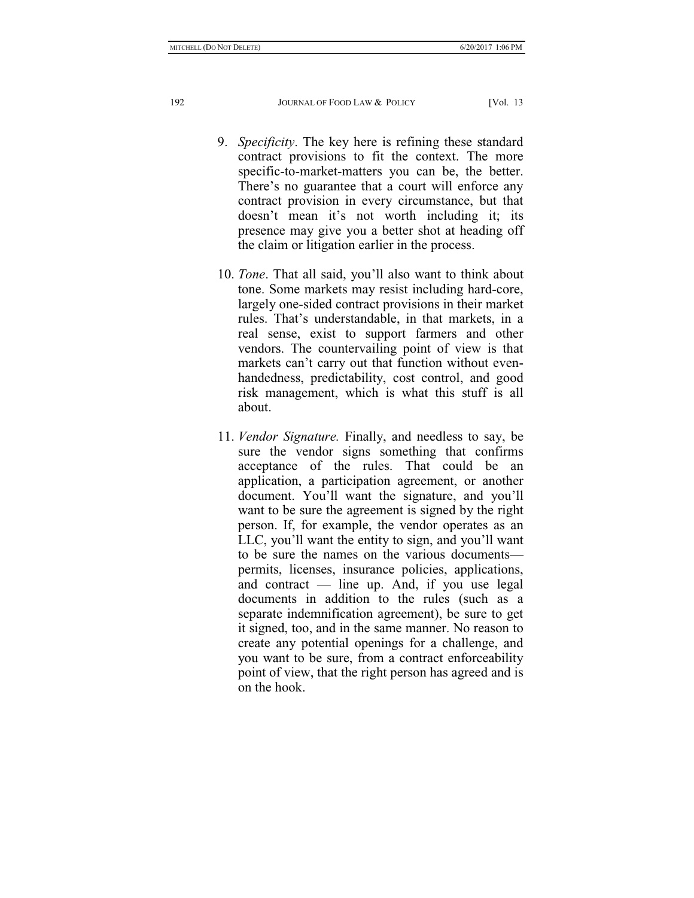- 9. *Specificity*. The key here is refining these standard contract provisions to fit the context. The more specific-to-market-matters you can be, the better. There's no guarantee that a court will enforce any contract provision in every circumstance, but that doesn't mean it's not worth including it; its presence may give you a better shot at heading off the claim or litigation earlier in the process.
- 10. *Tone*. That all said, you'll also want to think about tone. Some markets may resist including hard-core, largely one-sided contract provisions in their market rules. That's understandable, in that markets, in a real sense, exist to support farmers and other vendors. The countervailing point of view is that markets can't carry out that function without evenhandedness, predictability, cost control, and good risk management, which is what this stuff is all about.
- 11. *Vendor Signature.* Finally, and needless to say, be sure the vendor signs something that confirms acceptance of the rules. That could be application, a participation agreement, or another document. You'll want the signature, and you'll want to be sure the agreement is signed by the right person. If, for example, the vendor operates as an LLC, you'll want the entity to sign, and you'll want to be sure the names on the various documents permits, licenses, insurance policies, applications, and contract — line up. And, if you use legal documents in addition to the rules (such as a separate indemnification agreement), be sure to get it signed, too, and in the same manner. No reason to create any potential openings for a challenge, and you want to be sure, from a contract enforceability point of view, that the right person has agreed and is on the hook.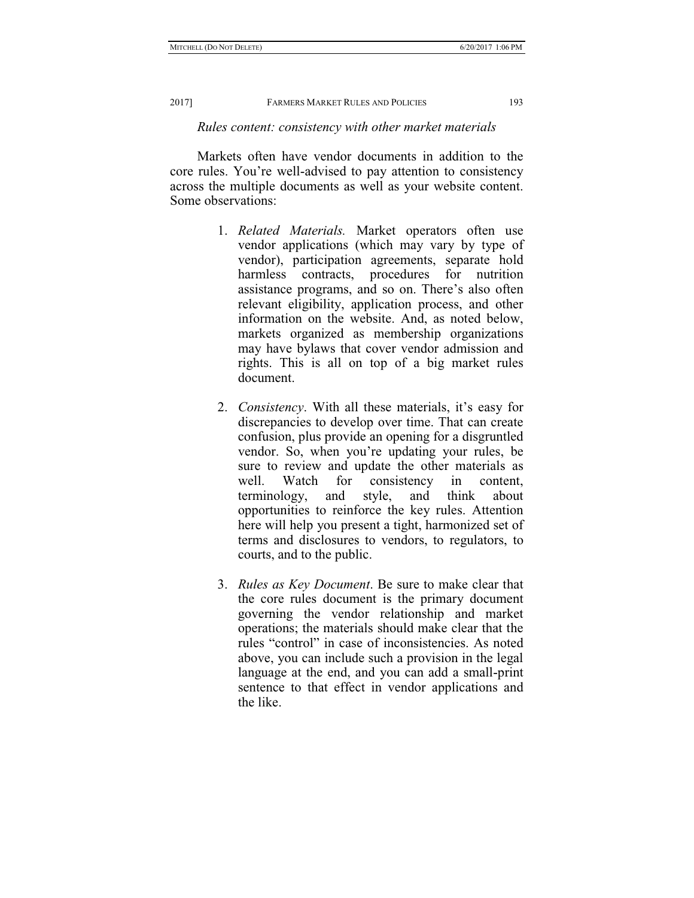### *Rules content: consistency with other market materials*

Markets often have vendor documents in addition to the core rules. You're well-advised to pay attention to consistency across the multiple documents as well as your website content. Some observations:

- 1. *Related Materials.* Market operators often use vendor applications (which may vary by type of vendor), participation agreements, separate hold harmless contracts, procedures for nutrition assistance programs, and so on. There's also often relevant eligibility, application process, and other information on the website. And, as noted below, markets organized as membership organizations may have bylaws that cover vendor admission and rights. This is all on top of a big market rules document.
- 2. *Consistency*. With all these materials, it's easy for discrepancies to develop over time. That can create confusion, plus provide an opening for a disgruntled vendor. So, when you're updating your rules, be sure to review and update the other materials as well. Watch for consistency in content, terminology, and style, and think about opportunities to reinforce the key rules. Attention here will help you present a tight, harmonized set of terms and disclosures to vendors, to regulators, to courts, and to the public.
- 3. *Rules as Key Document*. Be sure to make clear that the core rules document is the primary document governing the vendor relationship and market operations; the materials should make clear that the rules "control" in case of inconsistencies. As noted above, you can include such a provision in the legal language at the end, and you can add a small-print sentence to that effect in vendor applications and the like.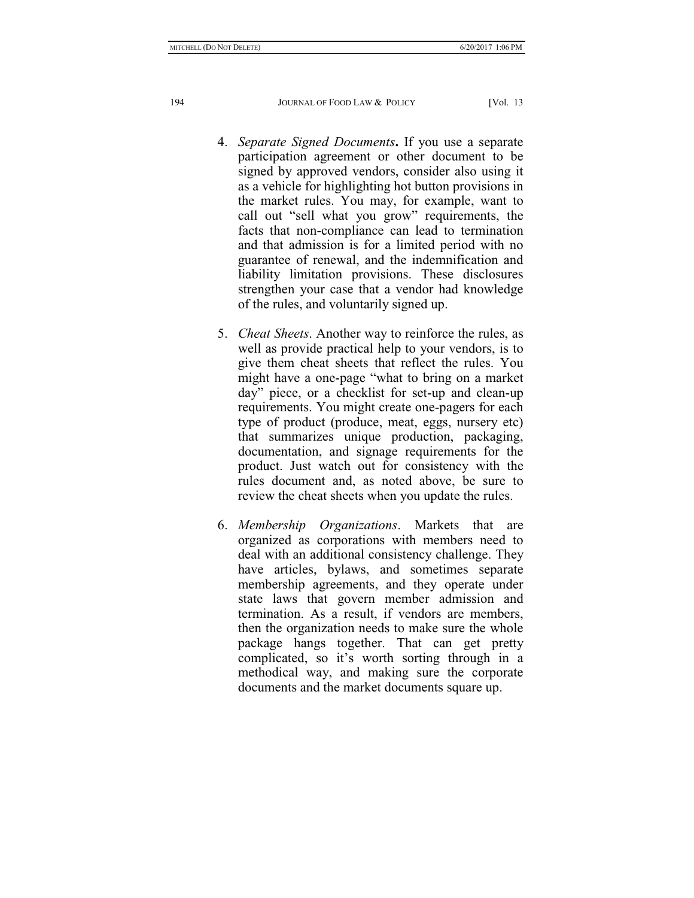- 4. *Separate Signed Documents***.** If you use a separate participation agreement or other document to be signed by approved vendors, consider also using it as a vehicle for highlighting hot button provisions in the market rules. You may, for example, want to call out "sell what you grow" requirements, the facts that non-compliance can lead to termination and that admission is for a limited period with no guarantee of renewal, and the indemnification and liability limitation provisions. These disclosures strengthen your case that a vendor had knowledge of the rules, and voluntarily signed up.
- 5. *Cheat Sheets*. Another way to reinforce the rules, as well as provide practical help to your vendors, is to give them cheat sheets that reflect the rules. You might have a one-page "what to bring on a market day" piece, or a checklist for set-up and clean-up requirements. You might create one-pagers for each type of product (produce, meat, eggs, nursery etc) that summarizes unique production, packaging, documentation, and signage requirements for the product. Just watch out for consistency with the rules document and, as noted above, be sure to review the cheat sheets when you update the rules.
- 6. *Membership Organizations*. Markets that are organized as corporations with members need to deal with an additional consistency challenge. They have articles, bylaws, and sometimes separate membership agreements, and they operate under state laws that govern member admission and termination. As a result, if vendors are members, then the organization needs to make sure the whole package hangs together. That can get pretty complicated, so it's worth sorting through in a methodical way, and making sure the corporate documents and the market documents square up.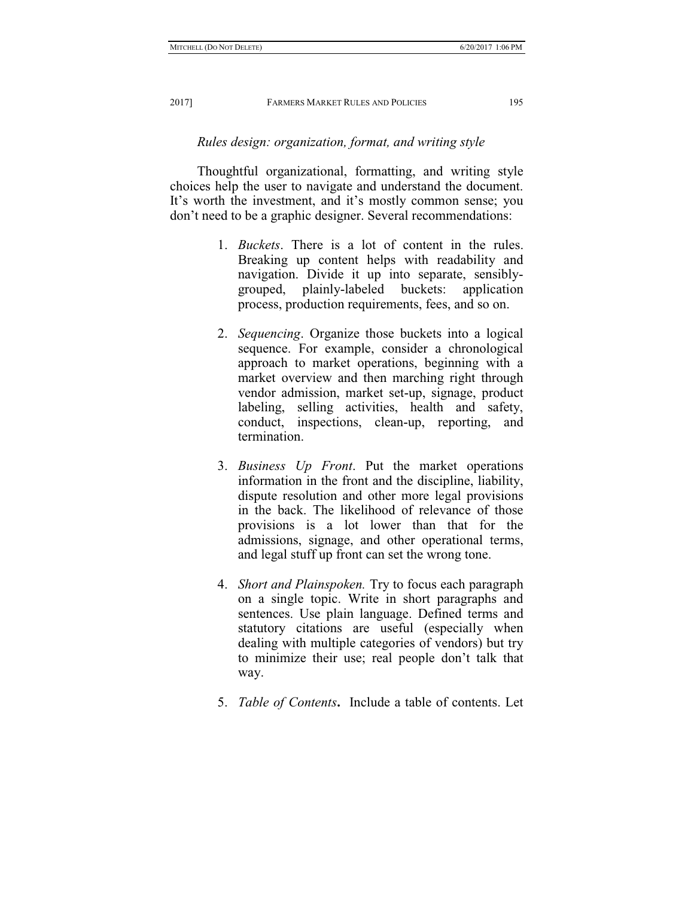# *Rules design: organization, format, and writing style*

Thoughtful organizational, formatting, and writing style choices help the user to navigate and understand the document. It's worth the investment, and it's mostly common sense; you don't need to be a graphic designer. Several recommendations:

- 1. *Buckets*. There is a lot of content in the rules. Breaking up content helps with readability and navigation. Divide it up into separate, sensiblygrouped, plainly-labeled buckets: application process, production requirements, fees, and so on.
- 2. *Sequencing*. Organize those buckets into a logical sequence. For example, consider a chronological approach to market operations, beginning with a market overview and then marching right through vendor admission, market set-up, signage, product labeling, selling activities, health and safety, conduct, inspections, clean-up, reporting, and termination.
- 3. *Business Up Front*. Put the market operations information in the front and the discipline, liability, dispute resolution and other more legal provisions in the back. The likelihood of relevance of those provisions is a lot lower than that for the admissions, signage, and other operational terms, and legal stuff up front can set the wrong tone.
- 4. *Short and Plainspoken.* Try to focus each paragraph on a single topic. Write in short paragraphs and sentences. Use plain language. Defined terms and statutory citations are useful (especially when dealing with multiple categories of vendors) but try to minimize their use; real people don't talk that way.
- 5. *Table of Contents***.** Include a table of contents. Let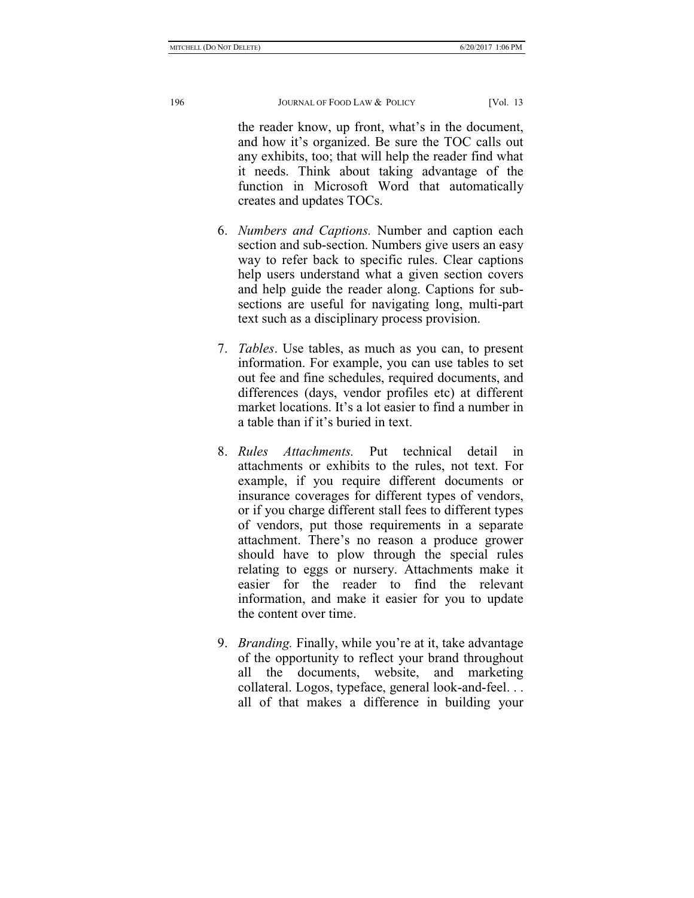the reader know, up front, what's in the document, and how it's organized. Be sure the TOC calls out any exhibits, too; that will help the reader find what it needs. Think about taking advantage of the function in Microsoft Word that automatically creates and updates TOCs.

- 6. *Numbers and Captions.* Number and caption each section and sub-section. Numbers give users an easy way to refer back to specific rules. Clear captions help users understand what a given section covers and help guide the reader along. Captions for subsections are useful for navigating long, multi-part text such as a disciplinary process provision.
- 7. *Tables*. Use tables, as much as you can, to present information. For example, you can use tables to set out fee and fine schedules, required documents, and differences (days, vendor profiles etc) at different market locations. It's a lot easier to find a number in a table than if it's buried in text.
- 8. *Rules Attachments.* Put technical detail in attachments or exhibits to the rules, not text. For example, if you require different documents or insurance coverages for different types of vendors, or if you charge different stall fees to different types of vendors, put those requirements in a separate attachment. There's no reason a produce grower should have to plow through the special rules relating to eggs or nursery. Attachments make it easier for the reader to find the relevant information, and make it easier for you to update the content over time.
- 9. *Branding.* Finally, while you're at it, take advantage of the opportunity to reflect your brand throughout all the documents, website, and marketing collateral. Logos, typeface, general look-and-feel. . . all of that makes a difference in building your